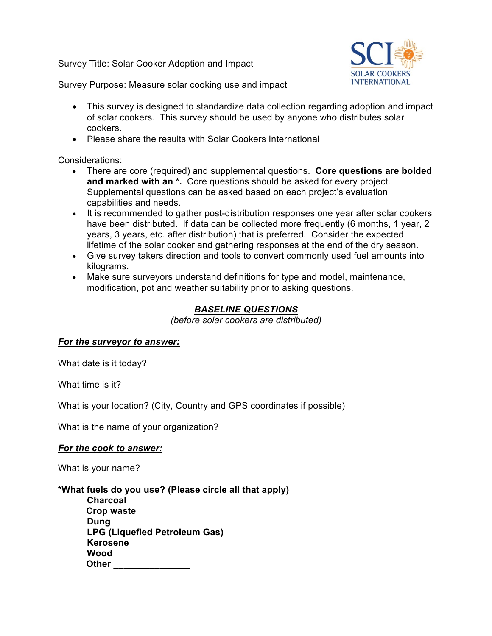Survey Title: Solar Cooker Adoption and Impact



Survey Purpose: Measure solar cooking use and impact

- This survey is designed to standardize data collection regarding adoption and impact of solar cookers. This survey should be used by anyone who distributes solar cookers.
- Please share the results with Solar Cookers International

Considerations:

- There are core (required) and supplemental questions. **Core questions are bolded and marked with an \*.** Core questions should be asked for every project. Supplemental questions can be asked based on each project's evaluation capabilities and needs.
- It is recommended to gather post-distribution responses one year after solar cookers have been distributed. If data can be collected more frequently (6 months, 1 year, 2 years, 3 years, etc. after distribution) that is preferred. Consider the expected lifetime of the solar cooker and gathering responses at the end of the dry season.
- Give survey takers direction and tools to convert commonly used fuel amounts into kilograms.
- Make sure surveyors understand definitions for type and model, maintenance, modification, pot and weather suitability prior to asking questions.

# *BASELINE QUESTIONS*

*(before solar cookers are distributed)*

#### *For the surveyor to answer:*

What date is it today?

What time is it?

What is your location? (City, Country and GPS coordinates if possible)

What is the name of your organization?

## *For the cook to answer:*

What is your name?

**\*What fuels do you use? (Please circle all that apply)**

**Charcoal Crop waste Dung LPG (Liquefied Petroleum Gas) Kerosene Wood Other \_\_\_\_\_\_\_\_\_\_\_\_\_\_\_**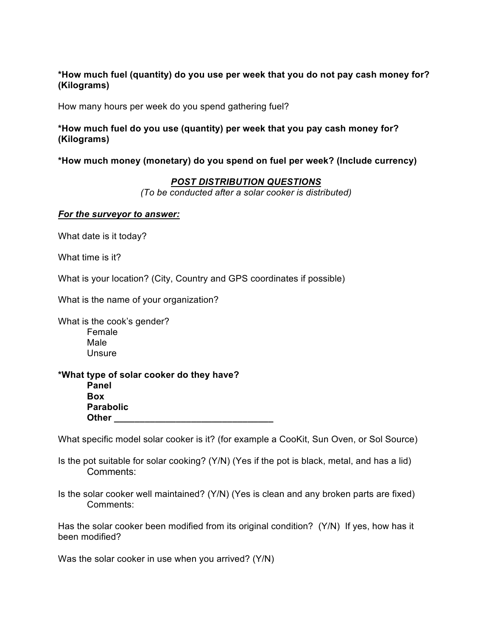### **\*How much fuel (quantity) do you use per week that you do not pay cash money for? (Kilograms)**

How many hours per week do you spend gathering fuel?

### **\*How much fuel do you use (quantity) per week that you pay cash money for? (Kilograms)**

#### **\*How much money (monetary) do you spend on fuel per week? (Include currency)**

### *POST DISTRIBUTION QUESTIONS*

*(To be conducted after a solar cooker is distributed)*

#### *For the surveyor to answer:*

What date is it today?

What time is it?

What is your location? (City, Country and GPS coordinates if possible)

What is the name of your organization?

What is the cook's gender? Female Male Unsure

#### **\*What type of solar cooker do they have? Panel Box Parabolic Other**

What specific model solar cooker is it? (for example a CooKit, Sun Oven, or Sol Source)

Is the pot suitable for solar cooking? (Y/N) (Yes if the pot is black, metal, and has a lid) Comments:

Is the solar cooker well maintained? (Y/N) (Yes is clean and any broken parts are fixed) Comments:

Has the solar cooker been modified from its original condition? (Y/N) If yes, how has it been modified?

Was the solar cooker in use when you arrived? (Y/N)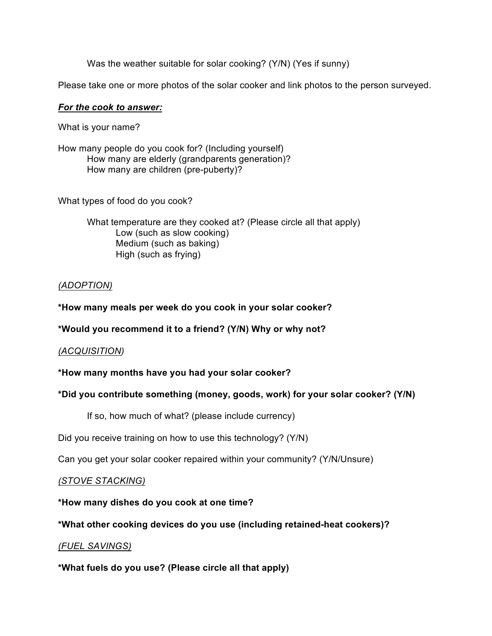Was the weather suitable for solar cooking? (Y/N) (Yes if sunny)

Please take one or more photos of the solar cooker and link photos to the person surveyed.

#### *For the cook to answer:*

What is your name?

How many people do you cook for? (Including yourself) How many are elderly (grandparents generation)? How many are children (pre-puberty)?

What types of food do you cook?

What temperature are they cooked at? (Please circle all that apply) Low (such as slow cooking) Medium (such as baking) High (such as frying)

## *(ADOPTION)*

### **\*How many meals per week do you cook in your solar cooker?**

**\*Would you recommend it to a friend? (Y/N) Why or why not?**

#### *(ACQUISITION)*

#### **\*How many months have you had your solar cooker?**

## **\*Did you contribute something (money, goods, work) for your solar cooker? (Y/N)**

If so, how much of what? (please include currency)

Did you receive training on how to use this technology? (Y/N)

Can you get your solar cooker repaired within your community? (Y/N/Unsure)

## *(STOVE STACKING)*

**\*How many dishes do you cook at one time?**

**\*What other cooking devices do you use (including retained-heat cookers)?**

## *(FUEL SAVINGS)*

**\*What fuels do you use? (Please circle all that apply)**